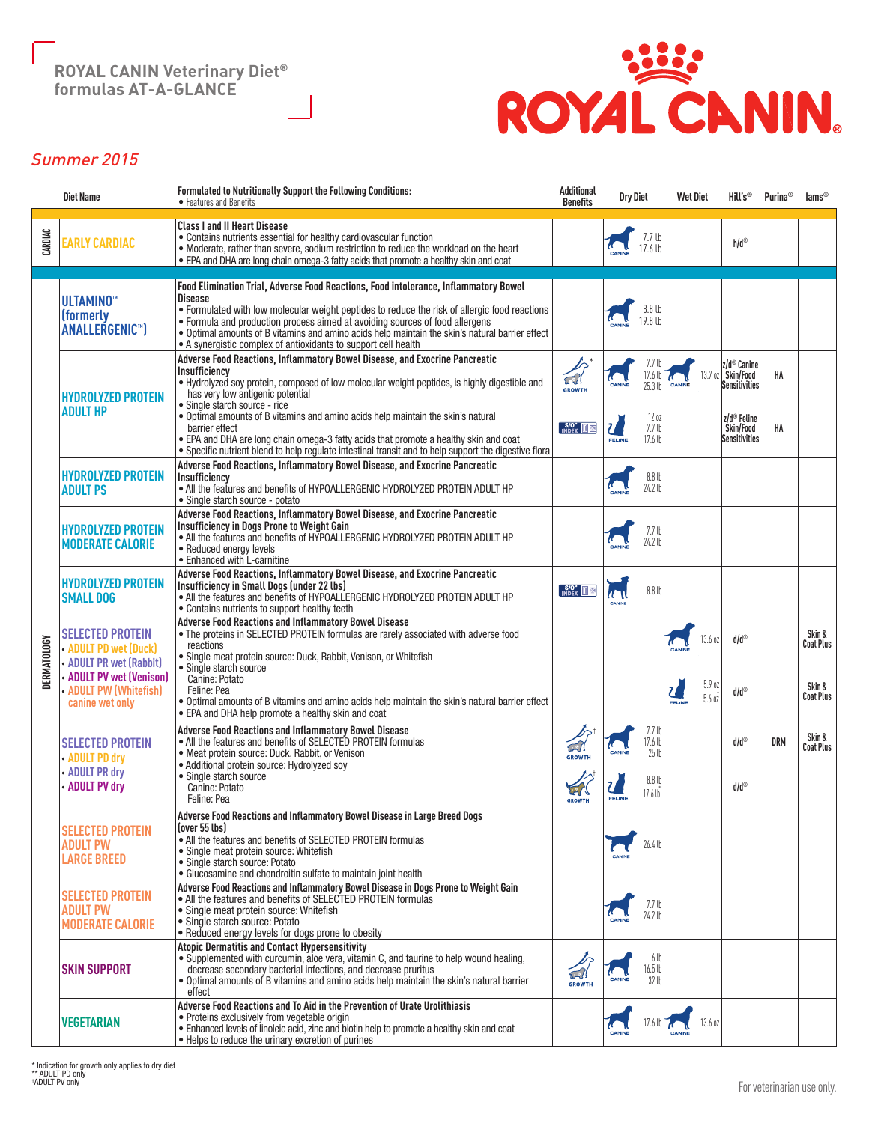

# Summer 2015

|                    | <b>Diet Name</b>                                                            | Formulated to Nutritionally Support the Following Conditions:<br>• Features and Benefits                                                                                                                                                                                                                                                                                                                                                                     | <b>Additional</b><br><b>Benefits</b>      | <b>Dry Diet</b>                                                         | <b>Wet Diet</b>                                                    | Hill's <sup>®</sup>                        | Purina <sup>®</sup> | $\text{lams}^{\circledcirc}$ |
|--------------------|-----------------------------------------------------------------------------|--------------------------------------------------------------------------------------------------------------------------------------------------------------------------------------------------------------------------------------------------------------------------------------------------------------------------------------------------------------------------------------------------------------------------------------------------------------|-------------------------------------------|-------------------------------------------------------------------------|--------------------------------------------------------------------|--------------------------------------------|---------------------|------------------------------|
| CARDIAC            | <b>EARLY CARDIAC</b>                                                        | <b>Class I and II Heart Disease</b><br>• Contains nutrients essential for healthy cardiovascular function<br>• Moderate, rather than severe, sodium restriction to reduce the workload on the heart<br>. EPA and DHA are long chain omega-3 fatty acids that promote a healthy skin and coat                                                                                                                                                                 |                                           | 7.7 lb<br>17.6 <sub>b</sub>                                             |                                                                    | h/d®                                       |                     |                              |
|                    | ULTAMINO <sup>**</sup><br>(formerly<br>ANALLERGENIC <sup>™</sup>            | Food Elimination Trial. Adverse Food Reactions. Food intolerance. Inflammatory Bowel<br><b>Disease</b><br>• Formulated with low molecular weight peptides to reduce the risk of allergic food reactions<br>• Formula and production process aimed at avoiding sources of food allergens<br>• Optimal amounts of B vitamins and amino acids help maintain the skin's natural barrier effect<br>• A synergistic complex of antioxidants to support cell health |                                           | 8.8 <sub>b</sub><br>19.8 lb                                             |                                                                    |                                            |                     |                              |
|                    | <b>HYDROLYZED PROTEIN</b><br><b>ADULT HP</b>                                | Adverse Food Reactions, Inflammatory Bowel Disease, and Exocrine Pancreatic<br>Insufficiency<br>. Hydrolyzed soy protein, composed of low molecular weight peptides, is highly digestible and<br>has very low antigenic potential<br>· Single starch source - rice<br>. Optimal amounts of B vitamins and amino acids help maintain the skin's natural                                                                                                       | $\widehat{\mathbb{C}}$<br><b>GROWTH</b>   | 7.7 U<br>17.6 <sub>l</sub><br>25.3 <sub>U</sub><br>CANIN                | 13.7 oz                                                            | z/d® Canine<br>Skin/Food<br>Sensitivities  | HA                  |                              |
|                    |                                                                             | barrier effect<br>. EPA and DHA are long chain omega-3 fatty acids that promote a healthy skin and coat<br>• Specific nutrient blend to help regulate intestinal transit and to help support the digestive flora                                                                                                                                                                                                                                             | $\frac{\mathsf{S/O}^*}{\mathsf{INDEX}}$   | 120z<br>$\mathcal{U}$<br>7.7 <sub>lb</sub><br>17.6 lb<br>FELINE         |                                                                    | z/d® Feline<br>Skin/Food<br>Sensitivitiesl | HA                  |                              |
|                    | <b>HYDROLYZED PROTEIN</b><br><b>ADULT PS</b>                                | Adverse Food Reactions, Inflammatory Bowel Disease, and Exocrine Pancreatic<br>Insufficiency<br>• All the features and benefits of HYPOALLERGENIC HYDROLYZED PROTEIN ADULT HP<br>• Single starch source - potato                                                                                                                                                                                                                                             |                                           | 8.8 <sub>b</sub><br>24.2 lb                                             |                                                                    |                                            |                     |                              |
|                    | <b>HYDROLYZED PROTEIN</b><br><b>MODERATE CALORIE</b>                        | Adverse Food Reactions, Inflammatory Bowel Disease, and Exocrine Pancreatic<br>Insufficiency in Dogs Prone to Weight Gain<br>• All the features and benefits of HYPOALLERGENIC HYDROLYZED PROTEIN ADULT HP<br>• Reduced energy levels<br>· Enhanced with L-carnitine                                                                                                                                                                                         |                                           | 7.7 <sub>U</sub><br>24.2 lb                                             |                                                                    |                                            |                     |                              |
|                    | <b>HYDROLYZED PROTEIN</b><br><b>SMALL DOG</b>                               | Adverse Food Reactions, Inflammatory Bowel Disease, and Exocrine Pancreatic<br>Insufficiency in Small Dogs (under 22 lbs)<br>• All the features and benefits of HYPOALLERGENIC HYDROLYZED PROTEIN ADULT HP<br>· Contains nutrients to support healthy teeth                                                                                                                                                                                                  | $\sqrt{\frac{S}{O}}$ $\sqrt{\frac{S}{O}}$ | 8.8 <sub>b</sub><br>$\sqrt{1}$<br>CANINE                                |                                                                    |                                            |                     |                              |
| <b>DERMATOLOGY</b> | <b>SELECTED PROTEIN</b><br>• ADULT PD wet (Duck)<br>• ADULT PR wet (Rabbit) | <b>Adverse Food Reactions and Inflammatory Bowel Disease</b><br>. The proteins in SELECTED PROTEIN formulas are rarely associated with adverse food<br>reactions<br>· Single meat protein source: Duck, Rabbit, Venison, or Whitefish                                                                                                                                                                                                                        |                                           |                                                                         | 13.6 oz                                                            | d/d®                                       |                     | Skin &<br>Coat Plus          |
|                    | <b>ADULT PV wet (Venison)</b><br>• ADULT PW (Whitefish)<br>canine wet only  | · Single starch source<br>Canine: Potato<br>Feline: Pea<br>• Optimal amounts of B vitamins and amino acids help maintain the skin's natural barrier effect<br>• EPA and DHA help promote a healthy skin and coat                                                                                                                                                                                                                                             |                                           |                                                                         | 5.9 <sub>02</sub><br>$\overline{a}$<br>5.6 <sub>02</sub><br>FELINE | d/d®                                       |                     | Skin &<br><b>Coat Plus</b>   |
|                    | <b>SELECTED PROTEIN</b><br>• ADULT PD dry                                   | <b>Adverse Food Reactions and Inflammatory Bowel Disease</b><br>• All the features and benefits of SELECTED PROTEIN formulas<br>· Meat protein source: Duck, Rabbit, or Venison<br>· Additional protein source: Hydrolyzed soy                                                                                                                                                                                                                               | $\widehat{\omega}$<br><b>GROWTH</b>       | 7.7 <sub>b</sub><br>17.6 lb<br>$\sqrt{2}$<br>CANINE<br>25 <sub>th</sub> |                                                                    | d/d®                                       | <b>DRM</b>          | Skin &<br><b>Coat Plus</b>   |
|                    | • ADULT PR dry<br>• ADULT PV dry                                            | · Single starch source<br>Canine: Potato<br>Feline: Pea                                                                                                                                                                                                                                                                                                                                                                                                      | <b>GROWTH</b>                             | 8.8 <sub>b</sub><br>17.6 <sub>b</sub><br>FELINE                         |                                                                    | d/d®                                       |                     |                              |
|                    | <b>SELECTED PROTEIN</b><br><b>ADULT PW</b><br><b>LARGE BREED</b>            | Adverse Food Reactions and Inflammatory Bowel Disease in Large Breed Dogs<br>(over 55 lbs)<br>• All the features and benefits of SELECTED PROTEIN formulas<br>• Single meat protein source: Whitefish<br>· Single starch source: Potato<br>• Glucosamine and chondroitin sulfate to maintain joint health                                                                                                                                                    |                                           | 26.4 lb                                                                 |                                                                    |                                            |                     |                              |
|                    | <b>SELECTED PROTEIN</b><br><b>ADULT PW</b><br><b>MODERATE CALORIE</b>       | Adverse Food Reactions and Inflammatory Bowel Disease in Dogs Prone to Weight Gain<br>• All the features and benefits of SELECTED PROTEIN formulas<br>• Single meat protein source: Whitefish<br>· Single starch source: Potato<br>. Reduced energy levels for dogs prone to obesity                                                                                                                                                                         |                                           | 7.7 <sub>b</sub><br>24.2 lb                                             |                                                                    |                                            |                     |                              |
|                    | <b>SKIN SUPPORT</b>                                                         | <b>Atopic Dermatitis and Contact Hypersensitivity</b><br>• Supplemented with curcumin, aloe vera, vitamin C, and taurine to help wound healing,<br>decrease secondary bacterial infections, and decrease pruritus<br>• Optimal amounts of B vitamins and amino acids help maintain the skin's natural barrier<br>effect                                                                                                                                      | 石川<br><b>GROWTH</b>                       | 6 lb<br>16.5 lb<br>CANINE<br>32 lb                                      |                                                                    |                                            |                     |                              |
|                    | <b>VEGETARIAN</b>                                                           | Adverse Food Reactions and To Aid in the Prevention of Urate Urolithiasis<br>• Proteins exclusively from vegetable origin<br>• Enhanced levels of linoleic acid, zinc and biotin help to promote a healthy skin and coat<br>. Helps to reduce the urinary excretion of purines                                                                                                                                                                               |                                           | 17.6 lb                                                                 | 13.6 oz                                                            |                                            |                     |                              |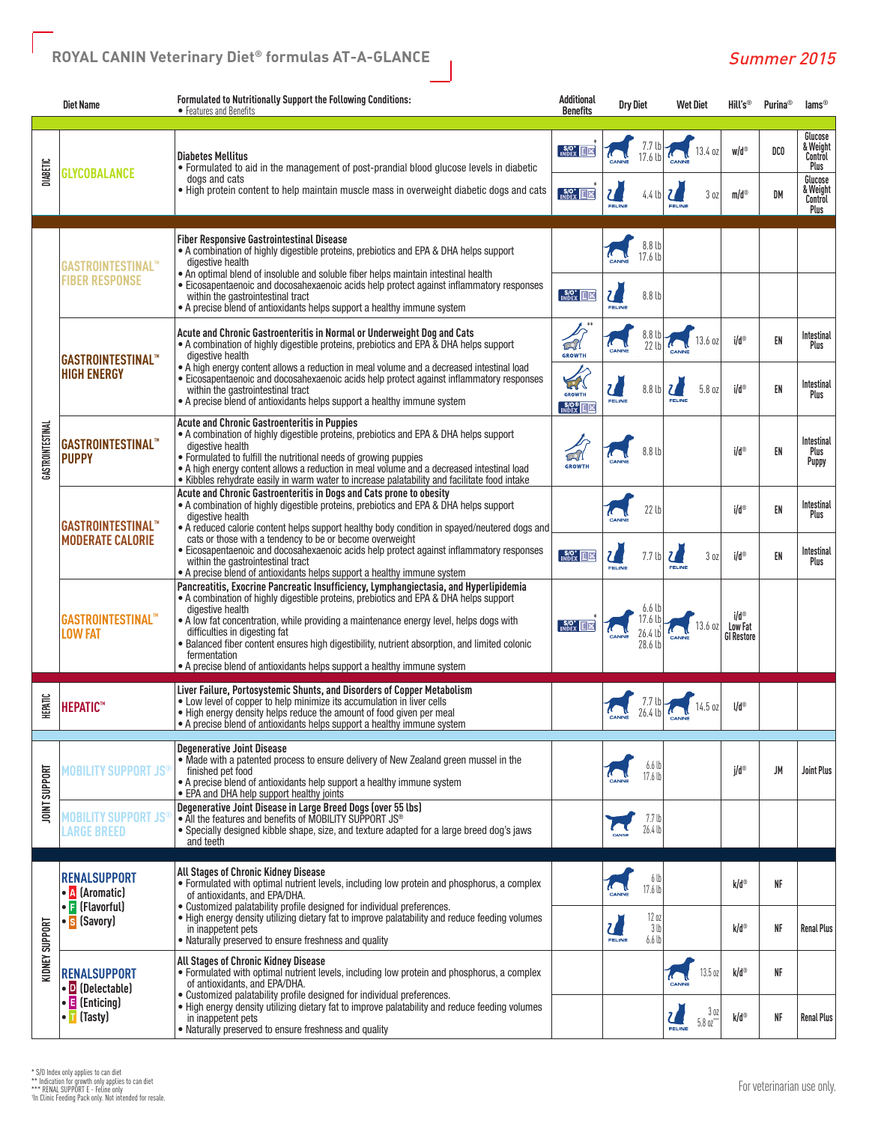|                      | <b>Diet Name</b>                                                                                                                                                                                                                                                                                                                                                                                                                                                                                              | Formulated to Nutritionally Support the Following Conditions:<br>• Features and Benefits                                                                                                                                                                                                                                                                                                                                                                                                                                  | <b>Additional</b><br><b>Benefits</b>                             | <b>Dry Diet</b>                                                         | <b>Wet Diet</b>                      | Hill's®                              | <b>Purina</b> <sup>®</sup> | $lams^{\circ}$                                                                   |
|----------------------|---------------------------------------------------------------------------------------------------------------------------------------------------------------------------------------------------------------------------------------------------------------------------------------------------------------------------------------------------------------------------------------------------------------------------------------------------------------------------------------------------------------|---------------------------------------------------------------------------------------------------------------------------------------------------------------------------------------------------------------------------------------------------------------------------------------------------------------------------------------------------------------------------------------------------------------------------------------------------------------------------------------------------------------------------|------------------------------------------------------------------|-------------------------------------------------------------------------|--------------------------------------|--------------------------------------|----------------------------|----------------------------------------------------------------------------------|
| DIABETIC             | <b>GLYCOBALANCE</b>                                                                                                                                                                                                                                                                                                                                                                                                                                                                                           | <b>Diabetes Mellitus</b><br>• Formulated to aid in the management of post-prandial blood glucose levels in diabetic<br>dogs and cats<br>• High protein content to help maintain muscle mass in overweight diabetic dogs and cats                                                                                                                                                                                                                                                                                          | $S/O^*$ $M \times$<br>$S/O^*$                                    | $\mathbf{Z}$<br>$4.4 \text{ lb}$<br>FELINE                              | 13.4 oz<br>30Z<br>FELINE             | $w/d^{\odot}$<br>$m/d^{\odot}$       | DCO<br>DM                  | Glucose<br>& Weight<br>Control<br>Plus<br>Glucose<br>& Weight<br>Control<br>Plus |
|                      | <b>Fiber Responsive Gastrointestinal Disease</b><br>• A combination of highly digestible proteins, prebiotics and EPA & DHA helps support<br>digestive health<br>GASTROINTESTINAL™<br>• An optimal blend of insoluble and soluble fiber helps maintain intestinal health<br><b>FIBER RESPONSE</b><br>• Eicosapentaenoic and docosahexaenoic acids help protect against inflammatory responses<br>within the gastrointestinal tract<br>• A precise blend of antioxidants helps support a healthy immune system |                                                                                                                                                                                                                                                                                                                                                                                                                                                                                                                           | 8.8 <sub>b</sub><br>17.6 lb                                      |                                                                         |                                      |                                      |                            |                                                                                  |
|                      |                                                                                                                                                                                                                                                                                                                                                                                                                                                                                                               |                                                                                                                                                                                                                                                                                                                                                                                                                                                                                                                           | $S/O^*$                                                          | $\mathcal{U}$<br>8.8 <sub>b</sub><br>FELINE                             |                                      |                                      |                            |                                                                                  |
|                      | GASTROINTESTINAL <sup>™</sup><br><b>HIGH ENERGY</b>                                                                                                                                                                                                                                                                                                                                                                                                                                                           | Acute and Chronic Gastroenteritis in Normal or Underweight Dog and Cats<br>• A combination of highly digestible proteins, prebiotics and EPA & DHA helps support<br>digestive health<br>• A high energy content allows a reduction in meal volume and a decreased intestinal load<br>· Eicosapentaenoic and docosahexaenoic acids help protect against inflammatory responses                                                                                                                                             | $\widehat{\omega}$<br><b>GROWTH</b>                              | 8.8 lb<br>22 lb                                                         | 13.6 oz                              | i/d®                                 | EN                         | Intestinal<br>Plus                                                               |
|                      |                                                                                                                                                                                                                                                                                                                                                                                                                                                                                                               | within the gastrointestinal tract<br>• A precise blend of antioxidants helps support a healthy immune system                                                                                                                                                                                                                                                                                                                                                                                                              | <b>APL</b><br><b>GROWTH</b><br>$\frac{\text{S/O}}{\text{INDEX}}$ | $\mathcal{U}$<br>8.8 <sub>b</sub><br><b>FELINE</b>                      | U<br>5.8 oz<br>EELINE                | i/d®                                 | EN                         | <b>Intestinal</b><br>Plus                                                        |
| GASTROINTESTINAL     | <b>GASTROINTESTINAL™</b><br><b>PUPPY</b>                                                                                                                                                                                                                                                                                                                                                                                                                                                                      | <b>Acute and Chronic Gastroenteritis in Puppies</b><br>• A combination of highly digestible proteins, prebiotics and EPA & DHA helps support<br>digestive health<br>· Formulated to fulfill the nutritional needs of growing puppies<br>• A high energy content allows a reduction in meal volume and a decreased intestinal load<br>• Kibbles rehydrate easily in warm water to increase palatability and facilitate food intake                                                                                         | $\widehat{\omega}$<br><b>GROWTH</b>                              | 8.8 <sub>th</sub>                                                       |                                      | i/d®                                 | EN                         | <b>Intestinal</b><br>Plus<br>Puppy                                               |
|                      | Acute and Chronic Gastroenteritis in Dogs and Cats prone to obesity<br>• A combination of highly digestible proteins, prebiotics and EPA & DHA helps support<br>digestive health<br><b>GASTROINTESTINAL</b> <sup>**</sup><br>• A reduced calorie content helps support healthy body condition in spayed/neutered dogs and                                                                                                                                                                                     |                                                                                                                                                                                                                                                                                                                                                                                                                                                                                                                           | 22 <sub>th</sub>                                                 |                                                                         | $ild^{\circ}$                        | EN                                   | Intestinal<br>Plus         |                                                                                  |
|                      | <b>MODERATE CALORIE</b>                                                                                                                                                                                                                                                                                                                                                                                                                                                                                       | cats or those with a tendency to be or become overweight<br>· Eicosapentaenoic and docosahexaenoic acids help protect against inflammatory responses<br>$S/O^*$ $M \times$<br>within the gastrointestinal tract<br>• A precise blend of antioxidants helps support a healthy immune system                                                                                                                                                                                                                                | $\mathbf{Z}$<br>7.7 <sub>b</sub><br>FELINE                       | $\mathcal U$<br>30Z<br>FELINE                                           | $ild^{\circ}$                        | EN                                   | Intestinal<br>Plus         |                                                                                  |
|                      | GASTROINTESTINAL™<br>LOW FAT                                                                                                                                                                                                                                                                                                                                                                                                                                                                                  | Pancreatitis, Exocrine Pancreatic Insufficiency, Lymphangiectasia, and Hyperlipidemia<br>• A combination of highly digestible proteins, prebiotics and EPA & DHA helps support<br>digestive health<br>• A low fat concentration, while providing a maintenance energy level, helps dogs with<br>difficulties in digesting fat<br>• Balanced fiber content ensures high digestibility, nutrient absorption, and limited colonic<br>fermentation<br>• A precise blend of antioxidants helps support a healthy immune system | $S/O^*$ $M \times N$                                             | 6.6 <sub>b</sub><br>17.6 ll<br>26.4 lb<br>CANINE<br>28.6 lb             | 13.6 oz                              | i/d®<br>Low Fat<br><b>GI Restore</b> |                            |                                                                                  |
| <b>HEPATIC</b>       | <b>HEPATIC</b> "                                                                                                                                                                                                                                                                                                                                                                                                                                                                                              | Liver Failure, Portosystemic Shunts, and Disorders of Copper Metabolism<br>. Low level of copper to help minimize its accumulation in liver cells<br>. High energy density helps reduce the amount of food given per meal<br>• A precise blend of antioxidants helps support a healthy immune system                                                                                                                                                                                                                      |                                                                  |                                                                         | 14.5 oz                              | U <sub>0</sub>                       |                            |                                                                                  |
| <b>JOINT SUPPORT</b> | MOBILITY SUPPORT JS®                                                                                                                                                                                                                                                                                                                                                                                                                                                                                          | <b>Degenerative Joint Disease</b><br>. Made with a patented process to ensure delivery of New Zealand green mussel in the<br>finished pet food<br>• A precise blend of antioxidants help support a healthy immune system<br>• EPA and DHA help support healthy joints                                                                                                                                                                                                                                                     |                                                                  | 6.6 lb<br>17.6 lb                                                       |                                      | $i/d^{\circ}$                        | <b>JM</b>                  | <b>Joint Plus</b>                                                                |
|                      | MOBILITY SUPPORT $\mathsf{JS}^{\mathsf{c}}$<br>LARGE BREED                                                                                                                                                                                                                                                                                                                                                                                                                                                    | Degenerative Joint Disease in Large Breed Dogs (over 55 lbs)<br>• All the features and benefits of MOBILITY SUPPORT JS®<br>· Specially designed kibble shape, size, and texture adapted for a large breed dog's jaws<br>and teeth                                                                                                                                                                                                                                                                                         |                                                                  | 7.7 <sub>lb</sub><br>26.4 lb                                            |                                      |                                      |                            |                                                                                  |
|                      | <b>RENALSUPPORT</b>                                                                                                                                                                                                                                                                                                                                                                                                                                                                                           | All Stages of Chronic Kidney Disease<br>• Formulated with optimal nutrient levels, including low protein and phosphorus, a complex                                                                                                                                                                                                                                                                                                                                                                                        |                                                                  | 6 lb                                                                    |                                      | k/d®                                 | NF                         |                                                                                  |
| KIDNEY SUPPORT       | • A (Aromatic)<br>• F (Flavorful)<br>• <mark>S</mark> (Savory)                                                                                                                                                                                                                                                                                                                                                                                                                                                | of antioxidants, and EPA/DHA.<br>• Customized palatability profile designed for individual preferences.<br>. High energy density utilizing dietary fat to improve palatability and reduce feeding volumes<br>in inappetent pets<br>• Naturally preserved to ensure freshness and quality                                                                                                                                                                                                                                  |                                                                  | 17.6 lb<br>12 oz<br>$\mathbf{Z}$<br>3 <sub>th</sub><br>FELINE<br>6.6 lb |                                      | k/d®                                 | <b>NF</b>                  | <b>Renal Plus</b>                                                                |
|                      | <b>RENALSUPPORT</b><br>$\cdot$ D (Delectable)                                                                                                                                                                                                                                                                                                                                                                                                                                                                 | All Stages of Chronic Kidney Disease<br>• Formulated with optimal nutrient levels, including low protein and phosphorus, a complex<br>of antioxidants, and EPA/DHA.<br>• Customized palatability profile designed for individual preferences.                                                                                                                                                                                                                                                                             |                                                                  |                                                                         | 13.5 oz                              | k/d®                                 | NF                         |                                                                                  |
|                      | $\cdot$ <b>E</b> (Enticing)<br>• T (Tasty)                                                                                                                                                                                                                                                                                                                                                                                                                                                                    | . High energy density utilizing dietary fat to improve palatability and reduce feeding volumes<br>in inappetent pets<br>. Naturally preserved to ensure freshness and quality                                                                                                                                                                                                                                                                                                                                             |                                                                  |                                                                         | 3 oz<br>$5.8$ oz $\degree$<br>FELINE | k/d®                                 | NF                         | <b>Renal Plus</b>                                                                |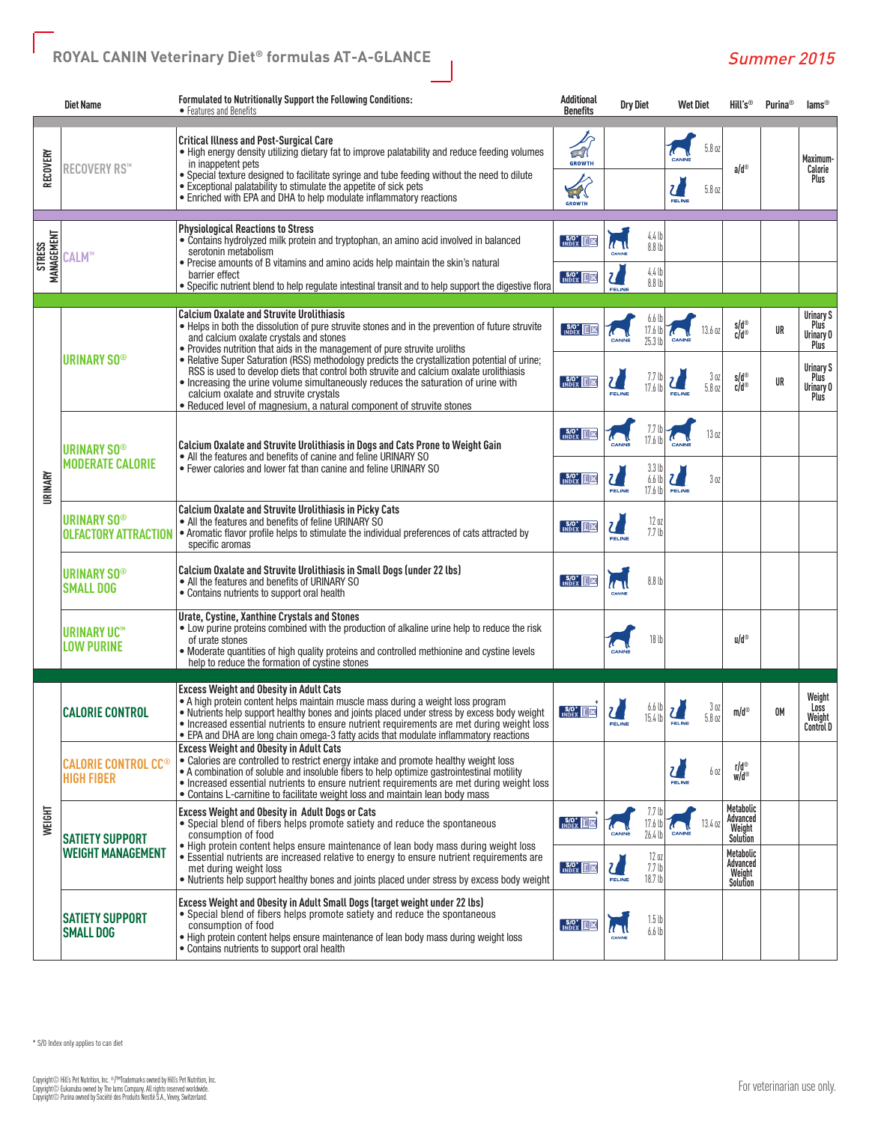|                             | <b>Diet Name</b>                                                                                                                                                                                                                                                                                                                                                                                                                                                                                                                                                                                                                                                                                        | Formulated to Nutritionally Support the Following Conditions:<br>• Features and Benefits                                                                                                                                                                                                                                                                                                                                                                                   | <b>Additional</b><br><b>Benefits</b>                                     | <b>Dry Diet</b>                                                                   | <b>Wet Diet</b>                     | Hill's <sup>®</sup>                         | <b>Purina</b> <sup>®</sup>                    | $lams^{\circ}$                         |
|-----------------------------|---------------------------------------------------------------------------------------------------------------------------------------------------------------------------------------------------------------------------------------------------------------------------------------------------------------------------------------------------------------------------------------------------------------------------------------------------------------------------------------------------------------------------------------------------------------------------------------------------------------------------------------------------------------------------------------------------------|----------------------------------------------------------------------------------------------------------------------------------------------------------------------------------------------------------------------------------------------------------------------------------------------------------------------------------------------------------------------------------------------------------------------------------------------------------------------------|--------------------------------------------------------------------------|-----------------------------------------------------------------------------------|-------------------------------------|---------------------------------------------|-----------------------------------------------|----------------------------------------|
| RECOVERY                    | <b>RECOVERY RS™</b>                                                                                                                                                                                                                                                                                                                                                                                                                                                                                                                                                                                                                                                                                     | <b>Critical Illness and Post-Surgical Care</b><br>. High energy density utilizing dietary fat to improve palatability and reduce feeding volumes<br>in inappetent pets<br>. Special texture designed to facilitate syringe and tube feeding without the need to dilute<br>• Exceptional palatability to stimulate the appetite of sick pets<br>• Enriched with EPA and DHA to help modulate inflammatory reactions                                                         | $\widehat{\mathbb{C}}$<br><b>GROWTH</b><br>$\mathbb{Z}$<br><b>GROWTH</b> |                                                                                   | 5.8 oz<br>U<br>5.8 oz<br>FELINE     | $a/d^{\circledcirc}$                        |                                               | Maximum-<br>Calorie<br>Plus            |
| MANAGEMENT<br><b>STRESS</b> | CALM™                                                                                                                                                                                                                                                                                                                                                                                                                                                                                                                                                                                                                                                                                                   | <b>Physiological Reactions to Stress</b><br>• Contains hydrolyzed milk protein and tryptophan, an amino acid involved in balanced<br>serotonin metabolism<br>• Precise amounts of B vitamins and amino acids help maintain the skin's natural<br>barrier effect                                                                                                                                                                                                            | $S/O^*$ $K \times$<br>$\sqrt{\frac{S}{S}}$ $\sqrt{S}$                    | 4.4 <sub>b</sub><br>$\sqrt{1}$<br>8.8 <sub>b</sub><br>CANINE<br>$4.4 \text{ lb}$  |                                     |                                             |                                               |                                        |
|                             |                                                                                                                                                                                                                                                                                                                                                                                                                                                                                                                                                                                                                                                                                                         | • Specific nutrient blend to help regulate intestinal transit and to help support the digestive flora                                                                                                                                                                                                                                                                                                                                                                      |                                                                          | $\mathbf{Z}$<br>8.8 <sub>b</sub><br>FELINE                                        |                                     |                                             |                                               |                                        |
| <b>URINARY</b>              | <b>Calcium Oxalate and Struvite Urolithiasis</b><br>• Helps in both the dissolution of pure struvite stones and in the prevention of future struvite<br>and calcium oxalate crystals and stones<br>• Provides nutrition that aids in the management of pure struvite uroliths<br>• Relative Super Saturation (RSS) methodology predicts the crystallization potential of urine;<br><b>URINARY SO®</b><br>RSS is used to develop diets that control both struvite and calcium oxalate urolithiasis<br>• Increasing the urine volume simultaneously reduces the saturation of urine with<br>calcium oxalate and struvite crystals<br>• Reduced level of magnesium, a natural component of struvite stones |                                                                                                                                                                                                                                                                                                                                                                                                                                                                            | $S/O^*$ $\overline{M}$ $\times$                                          | 17.6 lb<br>$25.3$ lt                                                              | 13.6 oz                             | s/d®<br>c/d®                                | UR                                            | Urinary S<br>Plus<br>Urinary 0<br>Plus |
|                             |                                                                                                                                                                                                                                                                                                                                                                                                                                                                                                                                                                                                                                                                                                         | $\sqrt{\frac{S}{O}}$ $\sqrt{\frac{S}{O}}$                                                                                                                                                                                                                                                                                                                                                                                                                                  | 7.7 <sub>l</sub><br>$\mathbf{Z}$<br>17.6 lb<br>FELINE                    | 3 <sub>0Z</sub><br>$\overline{\mathcal{U}}$<br>5.8 oz<br>FELINE                   | $s/d^{\odot}$<br>$c/d$ <sup>®</sup> | UR                                          | <b>Urinary S</b><br>Plus<br>Urinary 0<br>Plus |                                        |
|                             | Calcium Oxalate and Struvite Urolithiasis in Dogs and Cats Prone to Weight Gain<br>• All the features and benefits of canine and feline URINARY SO<br><b>URINARY SO®</b>                                                                                                                                                                                                                                                                                                                                                                                                                                                                                                                                | $S/O^*$ $K \times$                                                                                                                                                                                                                                                                                                                                                                                                                                                         | 7.7 lt<br>17.6 lb                                                        | 13 oz                                                                             |                                     |                                             |                                               |                                        |
|                             | <b>MODERATE CALORIE</b>                                                                                                                                                                                                                                                                                                                                                                                                                                                                                                                                                                                                                                                                                 | • Fewer calories and lower fat than canine and feline URINARY SO                                                                                                                                                                                                                                                                                                                                                                                                           | $S/O^*$ $K \times$                                                       | 3.3 <sub>b</sub><br>$\mathcal{U}$<br>6.6 <sub>b</sub><br>17.6 lb<br><b>FELINE</b> | $\mathbf{Z}$<br>30Z<br>FELINE       |                                             |                                               |                                        |
|                             | <b>URINARY SO®</b><br><b>OLFACTORY ATTRACTION</b>                                                                                                                                                                                                                                                                                                                                                                                                                                                                                                                                                                                                                                                       | Calcium Oxalate and Struvite Urolithiasis in Picky Cats<br>• All the features and benefits of feline URINARY SO<br>• Aromatic flavor profile helps to stimulate the individual preferences of cats attracted by<br>specific aromas                                                                                                                                                                                                                                         | $S/O^*$ $K$                                                              | 12oz<br>$\mathbf{Z}$<br>7.7 <sub>th</sub><br>FELINE                               |                                     |                                             |                                               |                                        |
|                             | <b>URINARY SO®</b><br><b>SMALL DOG</b>                                                                                                                                                                                                                                                                                                                                                                                                                                                                                                                                                                                                                                                                  | Calcium Oxalate and Struvite Urolithiasis in Small Dogs (under 22 lbs)<br>• All the features and benefits of URINARY SO<br>• Contains nutrients to support oral health                                                                                                                                                                                                                                                                                                     | $S/O^*$ $K \times$                                                       | 8.8 <sub>b</sub><br>$\mathbf{u}$                                                  |                                     |                                             |                                               |                                        |
|                             | <b>URINARY UC<sup>®</sup></b><br><b>LOW PURINE</b>                                                                                                                                                                                                                                                                                                                                                                                                                                                                                                                                                                                                                                                      | Urate, Cystine, Xanthine Crystals and Stones<br>. Low purine proteins combined with the production of alkaline urine help to reduce the risk<br>of urate stones<br>• Moderate quantities of high quality proteins and controlled methionine and cystine levels<br>help to reduce the formation of cystine stones                                                                                                                                                           |                                                                          | 18 lb                                                                             |                                     | u/d®                                        |                                               |                                        |
| <b>WEIGHT</b>               | <b>CALORIE CONTROL</b>                                                                                                                                                                                                                                                                                                                                                                                                                                                                                                                                                                                                                                                                                  | <b>Excess Weight and Obesity in Adult Cats</b><br>• A high protein content helps maintain muscle mass during a weight loss program<br>. Nutrients help support healthy bones and joints placed under stress by excess body weight<br>• Increased essential nutrients to ensure nutrient requirements are met during weight loss<br>• EPA and DHA are long chain omega-3 fatty acids that modulate inflammatory reactions                                                   | $S/O^*$ $M \times$                                                       | 6.6 U<br>$\mathbf{Z}$<br>15.4 <sub>b</sub><br>FELINE                              | 3 oz<br>5.8 oz<br>FELINE            | m/d                                         | 0M                                            | Weight<br>Loss<br>Weight<br>Control D  |
|                             | <b>CALORIE CONTROL CC<sup>®</sup></b><br><b>HIGH FIBER</b>                                                                                                                                                                                                                                                                                                                                                                                                                                                                                                                                                                                                                                              | <b>Excess Weight and Obesity in Adult Cats</b><br>. Calories are controlled to restrict energy intake and promote healthy weight loss<br>• A combination of soluble and insoluble fibers to help optimize gastrointestinal motility<br>• Increased essential nutrients to ensure nutrient requirements are met during weight loss<br>· Contains L-carnitine to facilitate weight loss and maintain lean body mass                                                          |                                                                          |                                                                                   | 6 oz<br>FELINE                      | r/d®<br>w/d®                                |                                               |                                        |
|                             | <b>SATIETY SUPPORT</b>                                                                                                                                                                                                                                                                                                                                                                                                                                                                                                                                                                                                                                                                                  | <b>Excess Weight and Obesity in Adult Dogs or Cats</b><br>• Special blend of fibers helps promote satiety and reduce the spontaneous<br>consumption of food<br>. High protein content helps ensure maintenance of lean body mass during weight loss<br>• Essential nutrients are increased relative to energy to ensure nutrient requirements are<br>met during weight loss<br>. Nutrients help support healthy bones and joints placed under stress by excess body weight | $S/O^*$ $K$                                                              | 7.7 lt<br>17.6 lb<br>26.4 <sub>b</sub><br>CANINE                                  | 13.4 oz                             | Metabolic<br>Advanced<br>Weight<br>Solution |                                               |                                        |
|                             | <b>WEIGHT MANAGEMENT</b>                                                                                                                                                                                                                                                                                                                                                                                                                                                                                                                                                                                                                                                                                |                                                                                                                                                                                                                                                                                                                                                                                                                                                                            | $S/O^*$ $M \times$                                                       | 12 oz<br>$\mathbf{Z}$<br>7.7 <sub>lb</sub><br>18.7 lb<br>FELINE                   |                                     | Metabolic<br>Advanced<br>Weight<br>Solution |                                               |                                        |
|                             | <b>SATIETY SUPPORT</b><br><b>SMALL DOG</b>                                                                                                                                                                                                                                                                                                                                                                                                                                                                                                                                                                                                                                                              | Excess Weight and Obesity in Adult Small Dogs (target weight under 22 lbs)<br>• Special blend of fibers helps promote satiety and reduce the spontaneous<br>consumption of food<br>. High protein content helps ensure maintenance of lean body mass during weight loss<br>• Contains nutrients to support oral health                                                                                                                                                     | $S/O^*$ $K$                                                              | 1.5 <sub>b</sub><br>$\sqrt{1}$<br>$6.6 \text{ lb}$                                |                                     |                                             |                                               |                                        |